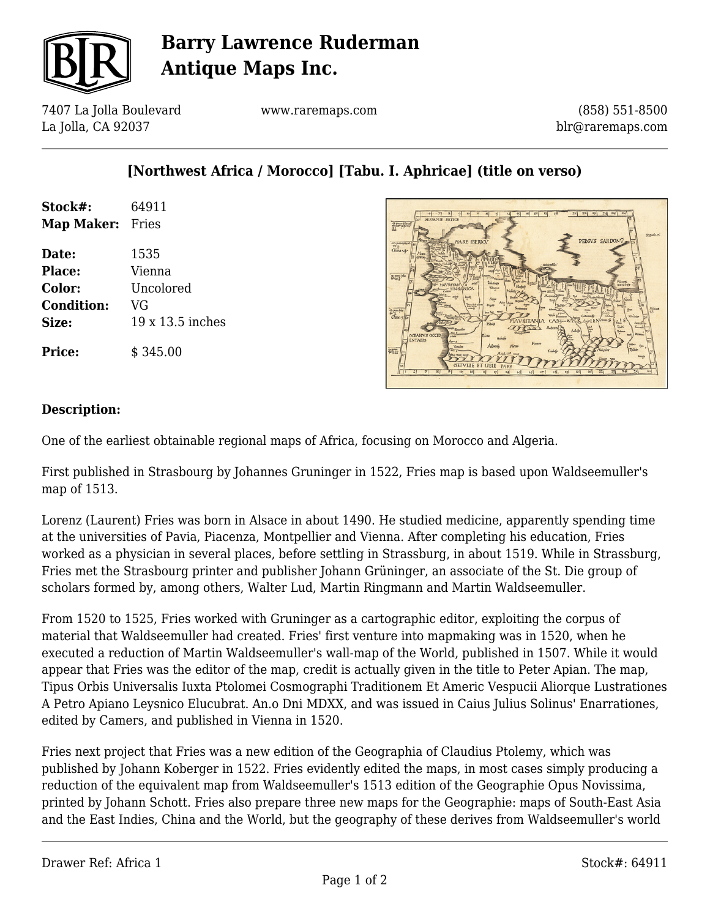

# **Barry Lawrence Ruderman Antique Maps Inc.**

7407 La Jolla Boulevard La Jolla, CA 92037

www.raremaps.com

(858) 551-8500 blr@raremaps.com

### **[Northwest Africa / Morocco] [Tabu. I. Aphricae] (title on verso)**

| Stock#:                 | 64911 |
|-------------------------|-------|
| <b>Map Maker:</b> Fries |       |
| Date:                   | 1535  |
|                         |       |

**Place:** Vienna **Color:** Uncolored **Condition:** VG **Size:** 19 x 13.5 inches

**Price:**  $\qquad$  \$ 345.00



#### **Description:**

One of the earliest obtainable regional maps of Africa, focusing on Morocco and Algeria.

First published in Strasbourg by Johannes Gruninger in 1522, Fries map is based upon Waldseemuller's map of 1513.

Lorenz (Laurent) Fries was born in Alsace in about 1490. He studied medicine, apparently spending time at the universities of Pavia, Piacenza, Montpellier and Vienna. After completing his education, Fries worked as a physician in several places, before settling in Strassburg, in about 1519. While in Strassburg, Fries met the Strasbourg printer and publisher Johann Grüninger, an associate of the St. Die group of scholars formed by, among others, Walter Lud, Martin Ringmann and Martin Waldseemuller.

From 1520 to 1525, Fries worked with Gruninger as a cartographic editor, exploiting the corpus of material that Waldseemuller had created. Fries' first venture into mapmaking was in 1520, when he executed a reduction of Martin Waldseemuller's wall-map of the World, published in 1507. While it would appear that Fries was the editor of the map, credit is actually given in the title to Peter Apian. The map, Tipus Orbis Universalis Iuxta Ptolomei Cosmographi Traditionem Et Americ Vespucii Aliorque Lustrationes A Petro Apiano Leysnico Elucubrat. An.o Dni MDXX, and was issued in Caius Julius Solinus' Enarrationes, edited by Camers, and published in Vienna in 1520.

Fries next project that Fries was a new edition of the Geographia of Claudius Ptolemy, which was published by Johann Koberger in 1522. Fries evidently edited the maps, in most cases simply producing a reduction of the equivalent map from Waldseemuller's 1513 edition of the Geographie Opus Novissima, printed by Johann Schott. Fries also prepare three new maps for the Geographie: maps of South-East Asia and the East Indies, China and the World, but the geography of these derives from Waldseemuller's world